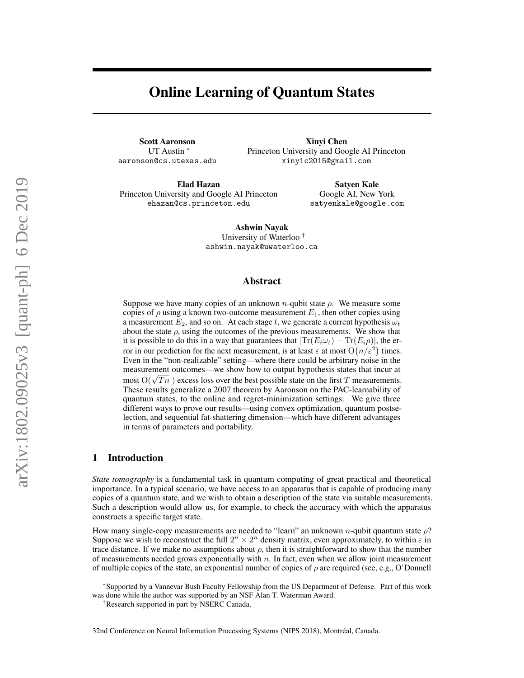# Online Learning of Quantum States

Scott Aaronson UT Austin <sup>∗</sup> aaronson@cs.utexas.edu

Xinyi Chen Princeton University and Google AI Princeton xinyic2015@gmail.com

Elad Hazan Princeton University and Google AI Princeton ehazan@cs.princeton.edu

Satyen Kale Google AI, New York satyenkale@google.com

Ashwin Nayak University of Waterloo † ashwin.nayak@uwaterloo.ca

#### Abstract

Suppose we have many copies of an unknown *n*-qubit state  $\rho$ . We measure some copies of  $\rho$  using a known two-outcome measurement  $E_1$ , then other copies using a measurement  $E_2$ , and so on. At each stage t, we generate a current hypothesis  $\omega_t$ about the state  $\rho$ , using the outcomes of the previous measurements. We show that it is possible to do this in a way that guarantees that  $|\text{Tr}(E_i\omega_t) - \text{Tr}(E_i\rho)|$ , the error in our prediction for the next measurement, is at least  $\varepsilon$  at most  $O(n/\varepsilon^2)$  times. Even in the "non-realizable" setting—where there could be arbitrary noise in the measurement outcomes—we show how to output hypothesis states that incur at measurement outcomes—we show how to output hypothesis states that incur at most  $O(\sqrt{Tn})$  excess loss over the best possible state on the first T measurements. These results generalize a 2007 theorem by Aaronson on the PAC-learnability of quantum states, to the online and regret-minimization settings. We give three different ways to prove our results—using convex optimization, quantum postselection, and sequential fat-shattering dimension—which have different advantages in terms of parameters and portability.

# 1 Introduction

*State tomography* is a fundamental task in quantum computing of great practical and theoretical importance. In a typical scenario, we have access to an apparatus that is capable of producing many copies of a quantum state, and we wish to obtain a description of the state via suitable measurements. Such a description would allow us, for example, to check the accuracy with which the apparatus constructs a specific target state.

How many single-copy measurements are needed to "learn" an unknown n-qubit quantum state  $\rho$ ? Suppose we wish to reconstruct the full  $2^n \times 2^n$  density matrix, even approximately, to within  $\varepsilon$  in trace distance. If we make no assumptions about  $\rho$ , then it is straightforward to show that the number of measurements needed grows exponentially with  $n$ . In fact, even when we allow joint measurement of multiple copies of the state, an exponential number of copies of  $\rho$  are required (see, e.g., O'Donnell

<sup>∗</sup> Supported by a Vannevar Bush Faculty Fellowship from the US Department of Defense. Part of this work was done while the author was supported by an NSF Alan T. Waterman Award.

<sup>†</sup>Research supported in part by NSERC Canada.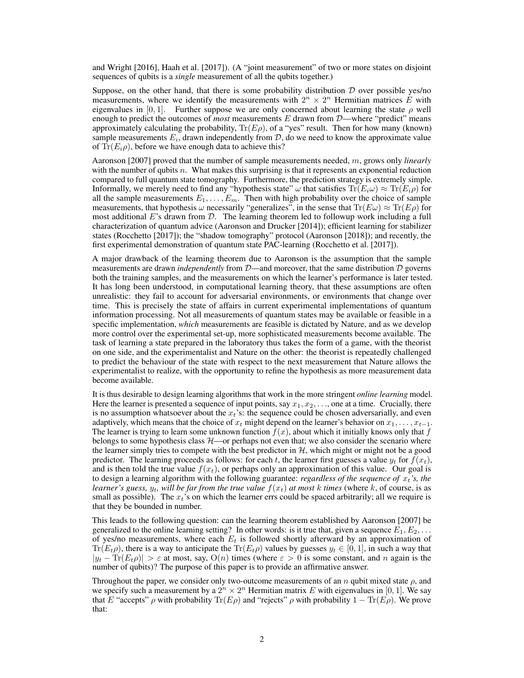and Wright [2016], Haah et al. [2017]). (A "joint measurement" of two or more states on disjoint sequences of qubits is a *single* measurement of all the qubits together.)

Suppose, on the other hand, that there is some probability distribution  $D$  over possible yes/no measurements, where we identify the measurements with  $2^n \times 2^n$  Hermitian matrices E with eigenvalues in [0, 1]. Further suppose we are only concerned about learning the state  $\rho$  well enough to predict the outcomes of *most* measurements E drawn from D—where "predict" means approximately calculating the probability,  $Tr(E\rho)$ , of a "yes" result. Then for how many (known) sample measurements  $E_i$ , drawn independently from  $D$ , do we need to know the approximate value of  $\text{Tr}(E_i \rho)$ , before we have enough data to achieve this?

Aaronson [2007] proved that the number of sample measurements needed, m, grows only *linearly* with the number of qubits  $n$ . What makes this surprising is that it represents an exponential reduction compared to full quantum state tomography. Furthermore, the prediction strategy is extremely simple. Informally, we merely need to find any "hypothesis state"  $\omega$  that satisfies  $Tr(E_i\omega) \approx Tr(E_i\rho)$  for all the sample measurements  $E_1, \ldots, E_m$ . Then with high probability over the choice of sample measurements, that hypothesis  $\omega$  necessarily "generalizes", in the sense that  $\text{Tr}(E\omega) \approx \text{Tr}(E\rho)$  for most additional  $E$ 's drawn from  $D$ . The learning theorem led to followup work including a full characterization of quantum advice (Aaronson and Drucker [2014]); efficient learning for stabilizer states (Rocchetto [2017]); the "shadow tomography" protocol (Aaronson [2018]); and recently, the first experimental demonstration of quantum state PAC-learning (Rocchetto et al. [2017]).

A major drawback of the learning theorem due to Aaronson is the assumption that the sample measurements are drawn *independently* from D—and moreover, that the same distribution D governs both the training samples, and the measurements on which the learner's performance is later tested. It has long been understood, in computational learning theory, that these assumptions are often unrealistic: they fail to account for adversarial environments, or environments that change over time. This is precisely the state of affairs in current experimental implementations of quantum information processing. Not all measurements of quantum states may be available or feasible in a specific implementation, *which* measurements are feasible is dictated by Nature, and as we develop more control over the experimental set-up, more sophisticated measurements become available. The task of learning a state prepared in the laboratory thus takes the form of a game, with the theorist on one side, and the experimentalist and Nature on the other: the theorist is repeatedly challenged to predict the behaviour of the state with respect to the next measurement that Nature allows the experimentalist to realize, with the opportunity to refine the hypothesis as more measurement data become available.

It is thus desirable to design learning algorithms that work in the more stringent *online learning* model. Here the learner is presented a sequence of input points, say  $x_1, x_2, \ldots$ , one at a time. Crucially, there is no assumption whatsoever about the  $x_t$ 's: the sequence could be chosen adversarially, and even adaptively, which means that the choice of  $x_t$  might depend on the learner's behavior on  $x_1, \ldots, x_{t-1}$ . The learner is trying to learn some unknown function  $f(x)$ , about which it initially knows only that f belongs to some hypothesis class  $H$ —or perhaps not even that; we also consider the scenario where the learner simply tries to compete with the best predictor in  $H$ , which might or might not be a good predictor. The learning proceeds as follows: for each t, the learner first guesses a value  $y_t$  for  $f(x_t)$ , and is then told the true value  $f(x_t)$ , or perhaps only an approximation of this value. Our goal is to design a learning algorithm with the following guarantee: *regardless of the sequence of*  $x_t$ 's, the *learner's guess,*  $y_t$ , will be far from the true value  $f(x_t)$  at most k times (where k, of course, is as small as possible). The  $x_t$ 's on which the learner errs could be spaced arbitrarily; all we require is that they be bounded in number.

This leads to the following question: can the learning theorem established by Aaronson [2007] be generalized to the online learning setting? In other words: is it true that, given a sequence  $E_1, E_2, \ldots$ of yes/no measurements, where each  $E_t$  is followed shortly afterward by an approximation of  $Tr(E_t\rho)$ , there is a way to anticipate the  $Tr(E_t\rho)$  values by guesses  $y_t \in [0, 1]$ , in such a way that  $|y_t - \text{Tr}(E_t \rho)| > \varepsilon$  at most, say,  $\text{O}(n)$  times (where  $\varepsilon > 0$  is some constant, and n again is the number of qubits)? The purpose of this paper is to provide an affirmative answer.

Throughout the paper, we consider only two-outcome measurements of an n qubit mixed state  $\rho$ , and we specify such a measurement by a  $2^n \times 2^n$  Hermitian matrix E with eigenvalues in [0, 1]. We say that E "accepts"  $\rho$  with probability Tr(E $\rho$ ) and "rejects"  $\rho$  with probability  $1 - \text{Tr}(E\rho)$ . We prove that: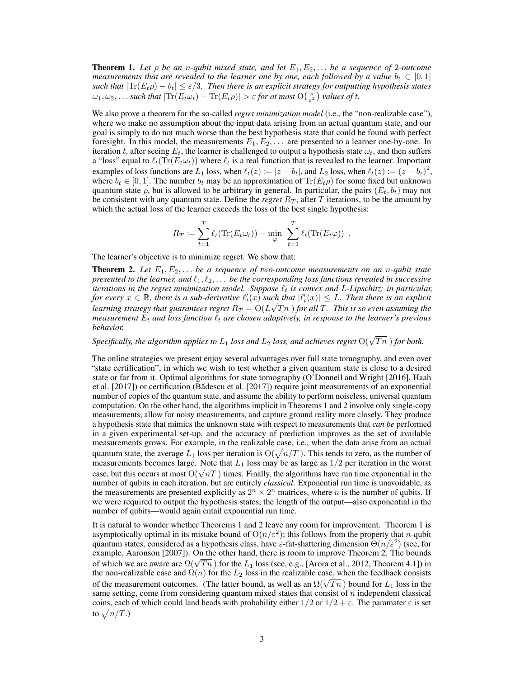**Theorem 1.** Let  $\rho$  be an *n*-qubit mixed state, and let  $E_1, E_2, \ldots$  be a sequence of 2-outcome *measurements that are revealed to the learner one by one, each followed by a value*  $b_t \in [0,1]$ *such that*  $|\text{Tr}(E_t\rho) - b_t| \leq \varepsilon/3$ . Then there is an explicit strategy for outputting hypothesis states  $\omega_1, \omega_2, \ldots$  such that  $|\text{Tr}(E_t\omega_t) - \text{Tr}(E_t\rho)| > \varepsilon$  for at most  $\text{O}\left(\frac{n}{\varepsilon^2}\right)$  values of t.

We also prove a theorem for the so-called *regret minimization model* (i.e., the "non-realizable case"), where we make no assumption about the input data arising from an actual quantum state, and our goal is simply to do not much worse than the best hypothesis state that could be found with perfect foresight. In this model, the measurements  $E_1, E_2, \ldots$  are presented to a learner one-by-one. In iteration t, after seeing  $E_t$ , the learner is challenged to output a hypothesis state  $\omega_t$ , and then suffers a "loss" equal to  $\ell_t(\text{Tr}(E_t \omega_t))$  where  $\ell_t$  is a real function that is revealed to the learner. Important examples of loss functions are  $L_1$  loss, when  $\ell_t(z) := |z - b_t|$ , and  $L_2$  loss, when  $\ell_t(z) := (z - b_t)^2$ , where  $b_t \in [0, 1]$ . The number  $b_t$  may be an approximation of  $\text{Tr}(E_t \rho)$  for some fixed but unknown quantum state  $\rho$ , but is allowed to be arbitrary in general. In particular, the pairs  $(E_t, b_t)$  may not be consistent with any quantum state. Define the *regret*  $R_T$ , after  $T$  iterations, to be the amount by which the actual loss of the learner exceeds the loss of the best single hypothesis:

$$
R_T := \sum_{t=1}^T \ell_t(\text{Tr}(E_t \omega_t)) - \min_{\varphi} \sum_{t=1}^T \ell_t(\text{Tr}(E_t \varphi)) .
$$

The learner's objective is to minimize regret. We show that:

**Theorem 2.** Let  $E_1, E_2, \ldots$  be a sequence of two-outcome measurements on an n-qubit state *presented to the learner, and*  $\ell_1, \ell_2, \ldots$  *be the corresponding loss functions revealed in successive iterations in the regret minimization model. Suppose*  $\ell_t$  *is convex and L-Lipschitz; in particular,* for every  $x \in \mathbb{R}$ , there is a sub-derivative  $\ell'_t(x)$  such that  $|\ell'_t(x)| \leq L$ . Then there is an explicit learning strategy that guarantees regret  $R_T = \mathrm{O}(L\sqrt{Tn}$  ) for all T. This is so even assuming the *measurement*  $E_t$  *and loss function*  $\ell_t$  *are chosen adaptively, in response to the learner's previous behavior.*

Specifically, the algorithm applies to  $L_1$  loss and  $L_2$  loss, and achieves regret  $\mathrm{O}(\sqrt{Tn}\,)$  for both.

The online strategies we present enjoy several advantages over full state tomography, and even over "state certification", in which we wish to test whether a given quantum state is close to a desired state or far from it. Optimal algorithms for state tomography (O'Donnell and Wright [2016], Haah et al. [2017]) or certification (Bădescu et al. [2017]) require joint measurements of an exponential number of copies of the quantum state, and assume the ability to perform noiseless, universal quantum computation. On the other hand, the algorithms implicit in Theorems 1 and 2 involve only single-copy measurements, allow for noisy measurements, and capture ground reality more closely. They produce a hypothesis state that mimics the unknown state with respect to measurements that *can be* performed in a given experimental set-up, and the accuracy of prediction improves as the set of available measurements grows. For example, in the realizable case, i.e., when the data arise from an actual quantum state, the average  $L_1$  loss per iteration is  $\mathcal{O}(\sqrt{n/T})$ . This tends to zero, as the number of measurements becomes large. Note that  $L_1$  loss may be as large as  $1/2$  per iteration in the worst measurements becomes large. Note that  $L_1$  loss may be as large as  $1/2$  per iteration in the worst case, but this occurs at most  $O(\sqrt{nT})$  times. Finally, the algorithms have run time exponential in the number of qubits in each iteration, but are entirely *classical*. Exponential run time is unavoidable, as the measurements are presented explicitly as  $2^n \times 2^n$  matrices, where *n* is the number of qubits. If we were required to output the hypothesis states, the length of the output—also exponential in the number of qubits—would again entail exponential run time.

It is natural to wonder whether Theorems 1 and 2 leave any room for improvement. Theorem 1 is asymptotically optimal in its mistake bound of  $O(n/\varepsilon^2)$ ; this follows from the property that *n*-qubit quantum states, considered as a hypothesis class, have  $\varepsilon$ -fat-shattering dimension  $\Theta(n/\varepsilon^2)$  (see, for example, Aaronson [2007]). On the other hand, there is room to improve Theorem 2. The bounds example, Aaronson [2007]). On the other hand, there is room to improve Theorem 2. The bounds of which we are aware are  $\Omega(\sqrt{Tn})$  for the  $L_1$  loss (see, e.g., [Arora et al., 2012, Theorem 4.1]) in the non-realizable case and  $\Omega(n)$  for the  $L_2$  loss in the realizable case, when the feedback consists The non-realizable case and  $\Omega(n)$  for the  $L_2$  loss in the realizable case, when the reedback consists of the measurement outcomes. (The latter bound, as well as an  $\Omega(\sqrt{Tn})$  bound for  $L_1$  loss in the same setting, come from considering quantum mixed states that consist of  $n$  independent classical coins, each of which could land heads with probability either  $1/2$  or  $1/2 + \varepsilon$ . The paramater  $\varepsilon$  is set to  $\sqrt{n/T}$ .)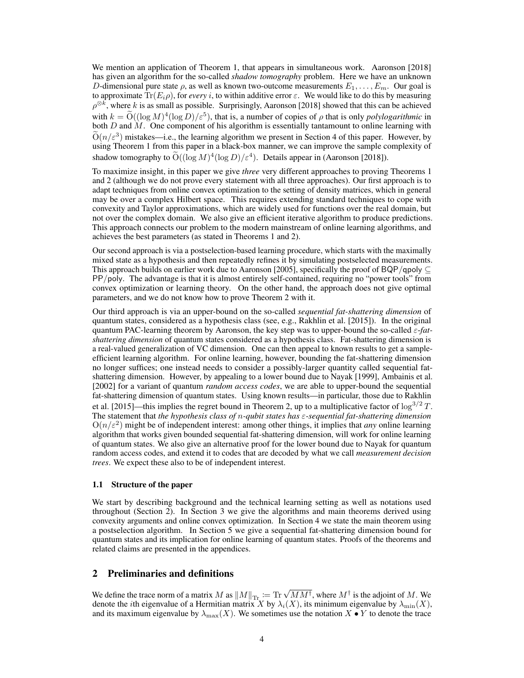We mention an application of Theorem 1, that appears in simultaneous work. Aaronson [2018] has given an algorithm for the so-called *shadow tomography* problem. Here we have an unknown D-dimensional pure state  $\rho$ , as well as known two-outcome measurements  $E_1, \ldots, E_m$ . Our goal is to approximate  $Tr(E_i \rho)$ , for *every* i, to within additive error  $\varepsilon$ . We would like to do this by measuring  $\rho^{\otimes k}$ , where k is as small as possible. Surprisingly, Aaronson [2018] showed that this can be achieved with  $k = \tilde{O}((\log M)^4 (\log D)/\epsilon^5)$ , that is, a number of copies of  $\rho$  that is only *polylogarithmic* in both  $D$  and  $M$ . One component of his algorithm is essentially tantamount to online learning with  $\widetilde{O}(n/\varepsilon^3)$  mistakes—i.e., the learning algorithm we present in Section 4 of this paper. However, by using Theorem 1 from this paper in a black-box manner, we can improve the sample complexity of shadow tomography to  $\tilde{O}((\log M)^4 (\log D) / \varepsilon^4)$ . Details appear in (Aaronson [2018]).

To maximize insight, in this paper we give *three* very different approaches to proving Theorems 1 and 2 (although we do not prove every statement with all three approaches). Our first approach is to adapt techniques from online convex optimization to the setting of density matrices, which in general may be over a complex Hilbert space. This requires extending standard techniques to cope with convexity and Taylor approximations, which are widely used for functions over the real domain, but not over the complex domain. We also give an efficient iterative algorithm to produce predictions. This approach connects our problem to the modern mainstream of online learning algorithms, and achieves the best parameters (as stated in Theorems 1 and 2).

Our second approach is via a postselection-based learning procedure, which starts with the maximally mixed state as a hypothesis and then repeatedly refines it by simulating postselected measurements. This approach builds on earlier work due to Aaronson [2005], specifically the proof of BQP/qpoly  $\subseteq$ PP/poly. The advantage is that it is almost entirely self-contained, requiring no "power tools" from convex optimization or learning theory. On the other hand, the approach does not give optimal parameters, and we do not know how to prove Theorem 2 with it.

Our third approach is via an upper-bound on the so-called *sequential fat-shattering dimension* of quantum states, considered as a hypothesis class (see, e.g., Rakhlin et al. [2015]). In the original quantum PAC-learning theorem by Aaronson, the key step was to upper-bound the so-called ε-*fatshattering dimension* of quantum states considered as a hypothesis class. Fat-shattering dimension is a real-valued generalization of VC dimension. One can then appeal to known results to get a sampleefficient learning algorithm. For online learning, however, bounding the fat-shattering dimension no longer suffices; one instead needs to consider a possibly-larger quantity called sequential fatshattering dimension. However, by appealing to a lower bound due to Nayak [1999], Ambainis et al. [2002] for a variant of quantum *random access codes*, we are able to upper-bound the sequential fat-shattering dimension of quantum states. Using known results—in particular, those due to Rakhlin et al. [2015]—this implies the regret bound in Theorem 2, up to a multiplicative factor of  $\log^{3/2} T$ . The statement that *the hypothesis class of* n*-qubit states has* ε*-sequential fat-shattering dimension*  $O(n/\varepsilon^2)$  might be of independent interest: among other things, it implies that *any* online learning algorithm that works given bounded sequential fat-shattering dimension, will work for online learning of quantum states. We also give an alternative proof for the lower bound due to Nayak for quantum random access codes, and extend it to codes that are decoded by what we call *measurement decision trees*. We expect these also to be of independent interest.

#### 1.1 Structure of the paper

We start by describing background and the technical learning setting as well as notations used throughout (Section 2). In Section 3 we give the algorithms and main theorems derived using convexity arguments and online convex optimization. In Section 4 we state the main theorem using a postselection algorithm. In Section 5 we give a sequential fat-shattering dimension bound for quantum states and its implication for online learning of quantum states. Proofs of the theorems and related claims are presented in the appendices.

# 2 Preliminaries and definitions

We define the trace norm of a matrix M as  $||M||_{\text{Tr}} := \text{Tr} \sqrt{M M^{\dagger}}$ , where  $M^{\dagger}$  is the adjoint of M. We denote the *i*th eigenvalue of a Hermitian matrix X by  $\lambda_i(X)$ , its minimum eigenvalue by  $\lambda_{\min}(X)$ , and its maximum eigenvalue by  $\lambda_{\text{max}}(X)$ . We sometimes use the notation  $X \bullet Y$  to denote the trace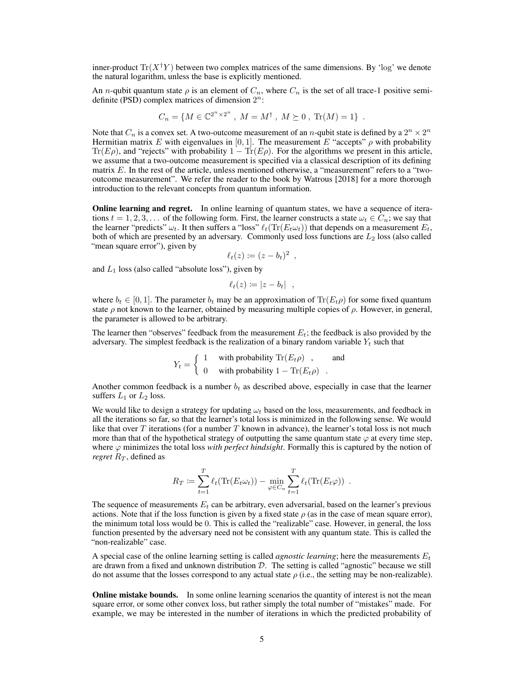inner-product  $Tr(X^{\dagger}Y)$  between two complex matrices of the same dimensions. By 'log' we denote the natural logarithm, unless the base is explicitly mentioned.

An *n*-qubit quantum state  $\rho$  is an element of  $C_n$ , where  $C_n$  is the set of all trace-1 positive semidefinite (PSD) complex matrices of dimension  $2^n$ :

$$
C_n = \{ M \in \mathbb{C}^{2^n \times 2^n} , M = M^{\dagger}, M \succeq 0, \text{Tr}(M) = 1 \} .
$$

Note that  $C_n$  is a convex set. A two-outcome measurement of an *n*-qubit state is defined by a  $2^n \times 2^n$ Hermitian matrix E with eigenvalues in [0, 1]. The measurement E "accepts"  $\rho$  with probability Tr( $E\rho$ ), and "rejects" with probability  $1 - Tr(E\rho)$ . For the algorithms we present in this article, we assume that a two-outcome measurement is specified via a classical description of its defining matrix  $E$ . In the rest of the article, unless mentioned otherwise, a "measurement" refers to a "twooutcome measurement". We refer the reader to the book by Watrous [2018] for a more thorough introduction to the relevant concepts from quantum information.

Online learning and regret. In online learning of quantum states, we have a sequence of iterations  $t = 1, 2, 3, \ldots$  of the following form. First, the learner constructs a state  $\omega_t \in C_n$ ; we say that the learner "predicts"  $\omega_t$ . It then suffers a "loss"  $\ell_t(\text{Tr}(E_t\omega_t))$  that depends on a measurement  $E_t$ , both of which are presented by an adversary. Commonly used loss functions are  $L_2$  loss (also called "mean square error"), given by

$$
\ell_t(z) \coloneqq (z - b_t)^2 \enspace,
$$

and  $L_1$  loss (also called "absolute loss"), given by

$$
\ell_t(z) \coloneqq |z - b_t| \quad ,
$$

where  $b_t \in [0, 1]$ . The parameter  $b_t$  may be an approximation of  $\text{Tr}(E_t \rho)$  for some fixed quantum state  $\rho$  not known to the learner, obtained by measuring multiple copies of  $\rho$ . However, in general, the parameter is allowed to be arbitrary.

The learner then "observes" feedback from the measurement  $E_t$ ; the feedback is also provided by the adversary. The simplest feedback is the realization of a binary random variable  $Y_t$  such that

$$
Y_t = \begin{cases} 1 & \text{with probability Tr}(E_t \rho) ,\\ 0 & \text{with probability } 1 - \text{Tr}(E_t \rho) . \end{cases}
$$

Another common feedback is a number  $b_t$  as described above, especially in case that the learner suffers  $L_1$  or  $L_2$  loss.

We would like to design a strategy for updating  $\omega_t$  based on the loss, measurements, and feedback in all the iterations so far, so that the learner's total loss is minimized in the following sense. We would like that over  $T$  iterations (for a number  $T$  known in advance), the learner's total loss is not much more than that of the hypothetical strategy of outputting the same quantum state  $\varphi$  at every time step, where  $\varphi$  minimizes the total loss *with perfect hindsight*. Formally this is captured by the notion of *regret*  $R_T$ , defined as

$$
R_T := \sum_{t=1}^T \ell_t(\text{Tr}(E_t \omega_t)) - \min_{\varphi \in C_n} \sum_{t=1}^T \ell_t(\text{Tr}(E_t \varphi)).
$$

The sequence of measurements  $E_t$  can be arbitrary, even adversarial, based on the learner's previous actions. Note that if the loss function is given by a fixed state  $\rho$  (as in the case of mean square error), the minimum total loss would be 0. This is called the "realizable" case. However, in general, the loss function presented by the adversary need not be consistent with any quantum state. This is called the "non-realizable" case.

A special case of the online learning setting is called *agnostic learning*; here the measurements  $E_t$ are drawn from a fixed and unknown distribution  $D$ . The setting is called "agnostic" because we still do not assume that the losses correspond to any actual state  $\rho$  (i.e., the setting may be non-realizable).

Online mistake bounds. In some online learning scenarios the quantity of interest is not the mean square error, or some other convex loss, but rather simply the total number of "mistakes" made. For example, we may be interested in the number of iterations in which the predicted probability of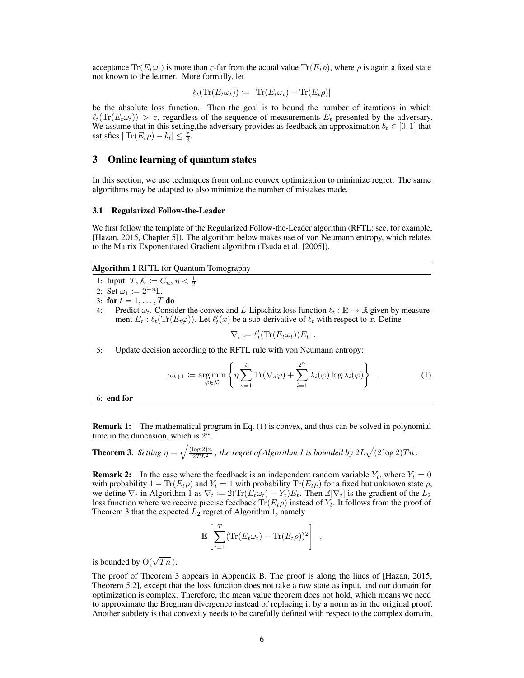acceptance  $\text{Tr}(E_t \omega_t)$  is more than  $\varepsilon$ -far from the actual value  $\text{Tr}(E_t \rho)$ , where  $\rho$  is again a fixed state not known to the learner. More formally, let

$$
\ell_t(\text{Tr}(E_t\omega_t)) \coloneqq |\text{Tr}(E_t\omega_t) - \text{Tr}(E_t\rho)|
$$

be the absolute loss function. Then the goal is to bound the number of iterations in which  $\ell_t(\text{Tr}(E_t\omega_t)) > \varepsilon$ , regardless of the sequence of measurements  $E_t$  presented by the adversary. We assume that in this setting, the adversary provides as feedback an approximation  $b_t \in [0, 1]$  that satisfies  $|\text{Tr}(E_t\rho) - b_t| \leq \frac{\varepsilon}{3}$ .

#### 3 Online learning of quantum states

In this section, we use techniques from online convex optimization to minimize regret. The same algorithms may be adapted to also minimize the number of mistakes made.

#### 3.1 Regularized Follow-the-Leader

We first follow the template of the Regularized Follow-the-Leader algorithm (RFTL; see, for example, [Hazan, 2015, Chapter 5]). The algorithm below makes use of von Neumann entropy, which relates to the Matrix Exponentiated Gradient algorithm (Tsuda et al. [2005]).

## Algorithm 1 RFTL for Quantum Tomography

- 1: Input:  $T, K := C_n, \eta < \frac{1}{2}$
- 2: Set  $\omega_1 := 2^{-n} \mathbb{I}$ .
- 3: for  $t = 1, \ldots, T$  do
- 4: Predict  $\omega_t$ . Consider the convex and L-Lipschitz loss function  $\ell_t : \mathbb{R} \to \mathbb{R}$  given by measurement  $E_t$ :  $\ell_t(\text{Tr}(E_t \varphi))$ . Let  $\ell'_t(x)$  be a sub-derivative of  $\ell_t$  with respect to x. Define

$$
\nabla_t \coloneqq \ell'_t(\text{Tr}(E_t \omega_t)) E_t .
$$

5: Update decision according to the RFTL rule with von Neumann entropy:

$$
\omega_{t+1} := \underset{\varphi \in \mathcal{K}}{\arg \min} \left\{ \eta \sum_{s=1}^{t} \text{Tr}(\nabla_s \varphi) + \sum_{i=1}^{2^n} \lambda_i(\varphi) \log \lambda_i(\varphi) \right\} . \tag{1}
$$

6: end for

**Remark 1:** The mathematical program in Eq. (1) is convex, and thus can be solved in polynomial time in the dimension, which is  $2^n$ .

**Theorem 3.** Setting  $\eta = \sqrt{\frac{(\log 2)n}{2TL^2}}$  , the regret of Algorithm 1 is bounded by  $2L\sqrt{(2\log 2)Tn}$  .

**Remark 2:** In the case where the feedback is an independent random variable  $Y_t$ , where  $Y_t = 0$ with probability  $1 - \text{Tr}(E_t \rho)$  and  $Y_t = 1$  with probability  $\text{Tr}(E_t \rho)$  for a fixed but unknown state  $\rho$ , we define  $\nabla_t$  in Algorithm 1 as  $\nabla_t := 2(\text{Tr}(E_t \omega_t) - Y_t) E_t$ . Then  $\mathbb{E}[\nabla_t]$  is the gradient of the  $L_2$ loss function where we receive precise feedback  $\text{Tr}(E_t \rho)$  instead of  $Y_t$ . It follows from the proof of Theorem 3 that the expected  $L_2$  regret of Algorithm 1, namely

$$
\mathbb{E}\left[\sum_{t=1}^T (\text{Tr}(E_t \omega_t) - \text{Tr}(E_t \rho))^2\right],
$$

is bounded by  $O(\sqrt{Tn})$ .

The proof of Theorem 3 appears in Appendix B. The proof is along the lines of [Hazan, 2015, Theorem 5.2], except that the loss function does not take a raw state as input, and our domain for optimization is complex. Therefore, the mean value theorem does not hold, which means we need to approximate the Bregman divergence instead of replacing it by a norm as in the original proof. Another subtlety is that convexity needs to be carefully defined with respect to the complex domain.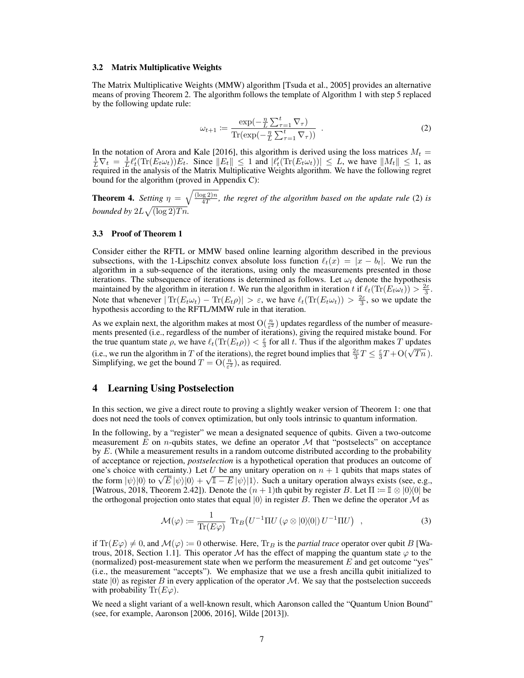#### 3.2 Matrix Multiplicative Weights

The Matrix Multiplicative Weights (MMW) algorithm [Tsuda et al., 2005] provides an alternative means of proving Theorem 2. The algorithm follows the template of Algorithm 1 with step 5 replaced by the following update rule:

$$
\omega_{t+1} := \frac{\exp(-\frac{\eta}{L}\sum_{\tau=1}^t \nabla_\tau)}{\text{Tr}(\exp(-\frac{\eta}{L}\sum_{\tau=1}^t \nabla_\tau))} \tag{2}
$$

In the notation of Arora and Kale [2016], this algorithm is derived using the loss matrices  $M_t =$  $\frac{1}{L}\nabla_t = \frac{1}{L}\ell_t^{\prime}(\text{Tr}(E_t\omega_t))E_t$ . Since  $||E_t|| \leq 1$  and  $|\ell_t^{\prime}(\text{Tr}(E_t\omega_t))| \leq L$ , we have  $||M_t|| \leq 1$ , as required in the analysis of the Matrix Multiplicative Weights algorithm. We have the following regret bound for the algorithm (proved in Appendix C):

**Theorem 4.** *Setting*  $\eta = \sqrt{\frac{(\log 2)n}{4T}}$  $\frac{qg(2)n}{4T}$ , the regret of the algorithm based on the update rule (2) is *bounded by*  $2L\sqrt{(\log 2)Tn}$ .

#### 3.3 Proof of Theorem 1

Consider either the RFTL or MMW based online learning algorithm described in the previous subsections, with the 1-Lipschitz convex absolute loss function  $\ell_t(x) = |x - b_t|$ . We run the algorithm in a sub-sequence of the iterations, using only the measurements presented in those iterations. The subsequence of iterations is determined as follows. Let  $\omega_t$  denote the hypothesis maintained by the algorithm in iteration t. We run the algorithm in iteration t if  $\ell_t(\text{Tr}(E_t\omega_t)) > \frac{2\varepsilon}{3}$ . Note that whenever  $|\text{Tr}(E_t\omega_t) - \text{Tr}(E_t\rho)| > \varepsilon$ , we have  $\ell_t(\text{Tr}(E_t\omega_t)) > \frac{2\varepsilon}{3}$ , so we update the hypothesis according to the RFTL/MMW rule in that iteration.

As we explain next, the algorithm makes at most  $O(\frac{n}{\epsilon^2})$  updates regardless of the number of measurements presented (i.e., regardless of the number of iterations), giving the required mistake bound. For the true quantum state  $\rho$ , we have  $\ell_t(\text{Tr}(E_t \rho)) < \frac{\varepsilon}{3}$  for all t. Thus if the algorithm makes T updates The true quantum state p, we have  $\ell_t(\text{Tr}(E_t p)) < \frac{\pi}{3}$  for an  $\ell$ . Thus if the algorithm makes T updates (i.e., we run the algorithm in T of the iterations), the regret bound implies that  $\frac{2\varepsilon}{3}T \leq \frac{\varepsilon}{3}T + O(\sqrt{T$ Simplifying, we get the bound  $T = O(\frac{n}{\varepsilon^2})$ , as required.

#### 4 Learning Using Postselection

In this section, we give a direct route to proving a slightly weaker version of Theorem 1: one that does not need the tools of convex optimization, but only tools intrinsic to quantum information.

In the following, by a "register" we mean a designated sequence of qubits. Given a two-outcome measurement  $E$  on *n*-qubits states, we define an operator  $M$  that "postselects" on acceptance by  $E$ . (While a measurement results in a random outcome distributed according to the probability of acceptance or rejection, *postselection* is a hypothetical operation that produces an outcome of one's choice with certainty.) Let U be any unitary operation on  $n + 1$  qubits that maps states of one s choice with certainty.) Let  $U$  be any unitary operation on  $n + 1$  qubits that maps states of the form  $|\psi\rangle|0\rangle$  to  $\sqrt{E} |\psi\rangle|0\rangle + \sqrt{1 - E} |\psi\rangle|1\rangle$ . Such a unitary operation always exists (see, e.g., [Watrous, 2018, Theorem 2.42]). Denote the  $(n + 1)$ th qubit by register B. Let  $\Pi := \mathbb{I} \otimes |0\rangle\langle 0|$  be the orthogonal projection onto states that equal  $|0\rangle$  in register B. Then we define the operator M as

$$
\mathcal{M}(\varphi) \coloneqq \frac{1}{\text{Tr}(E\varphi)} \text{Tr}_B(U^{-1}\Pi U \left(\varphi \otimes |0\rangle\langle 0| \right) U^{-1}\Pi U \right) , \qquad (3)
$$

if  $\text{Tr}(E\varphi) \neq 0$ , and  $\mathcal{M}(\varphi) := 0$  otherwise. Here,  $\text{Tr}_B$  is the *partial trace* operator over qubit B [Watrous, 2018, Section 1.1. This operator M has the effect of mapping the quantum state  $\varphi$  to the (normalized) post-measurement state when we perform the measurement  $E$  and get outcome "yes" (i.e., the measurement "accepts"). We emphasize that we use a fresh ancilla qubit initialized to state  $|0\rangle$  as register B in every application of the operator M. We say that the postselection succeeds with probability  $\text{Tr}(E\varphi)$ .

We need a slight variant of a well-known result, which Aaronson called the "Quantum Union Bound" (see, for example, Aaronson [2006, 2016], Wilde [2013]).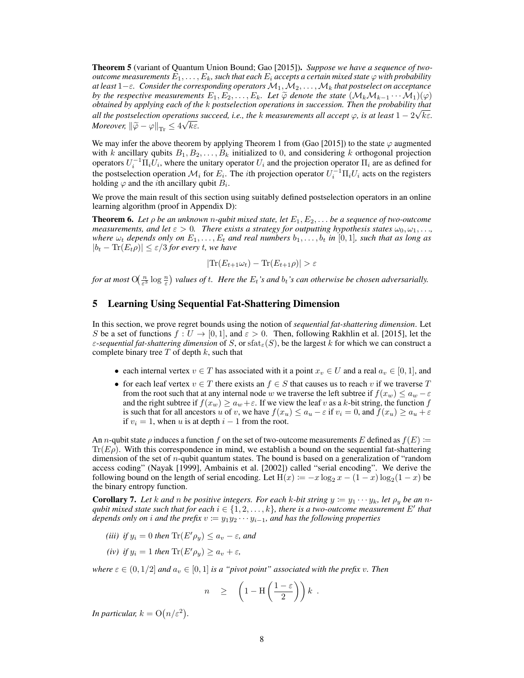Theorem 5 (variant of Quantum Union Bound; Gao [2015]). *Suppose we have a sequence of twooutcome measurements*  $E_1, \ldots, E_k$ , such that each  $E_i$  accepts a certain mixed state  $\varphi$  with probability *at least* 1−ε*. Consider the corresponding operators*M1,M2, . . . ,M<sup>k</sup> *that postselect on acceptance by the respective measurements*  $E_1, E_2, \ldots, E_k$ . Let  $\widetilde{\varphi}$  *denote the state*  $(\mathcal{M}_k \mathcal{M}_{k-1} \cdots \mathcal{M}_1)(\varphi)$ *obtained by applying each of the* k *postselection operations in succession. Then the probability that* √ *all the postselection operations succeed, i.e., the k measurements all accept*  $\varphi$ *, is at least*  $1 - 2\sqrt{k \varepsilon}$ *. Moreover,*  $\left\|\widetilde{\varphi} - \varphi\right\|_{\text{Tr}} \le 4\sqrt{k\varepsilon}$ .

We may infer the above theorem by applying Theorem 1 from (Gao [2015]) to the state  $\varphi$  augmented with k ancillary qubits  $B_1, B_2, \ldots, B_k$  initialized to 0, and considering k orthogonal projection operators  $U_i^{-1} \Pi_i U_i$ , where the unitary operator  $U_i$  and the projection operator  $\Pi_i$  are as defined for the postselection operation  $\mathcal{M}_i$  for  $E_i$ . The *i*th projection operator  $U_i^{-1} \Pi_i U_i$  acts on the registers holding  $\varphi$  and the *i*th ancillary qubit  $B_i$ .

We prove the main result of this section using suitably defined postselection operators in an online learning algorithm (proof in Appendix D):

**Theorem 6.** Let  $\rho$  be an unknown *n*-qubit mixed state, let  $E_1, E_2, \ldots$  be a sequence of two-outcome *measurements, and let*  $\varepsilon > 0$ *. There exists a strategy for outputting hypothesis states*  $\omega_0, \omega_1, \dots$ *where*  $\omega_t$  *depends only on*  $E_1, \ldots, E_t$  *and real numbers*  $b_1, \ldots, b_t$  *in* [0,1]*, such that as long as*  $|b_t - \text{Tr}(E_t \rho)| \leq \varepsilon/3$  *for every t, we have* 

$$
|\text{Tr}(E_{t+1}\omega_t) - \text{Tr}(E_{t+1}\rho)| > \varepsilon
$$

for at most  $O(\frac{n}{\epsilon^3}\log\frac{n}{\epsilon})$  values of t. Here the  $E_t$ 's and  $b_t$ 's can otherwise be chosen adversarially.

## 5 Learning Using Sequential Fat-Shattering Dimension

In this section, we prove regret bounds using the notion of *sequential fat-shattering dimension*. Let S be a set of functions  $f: U \to [0, 1]$ , and  $\varepsilon > 0$ . Then, following Rakhlin et al. [2015], let the  $\varepsilon$ -sequential fat-shattering dimension of S, or sfat<sub> $\varepsilon$ </sub>(S), be the largest k for which we can construct a complete binary tree  $T$  of depth  $k$ , such that

- each internal vertex  $v \in T$  has associated with it a point  $x_v \in U$  and a real  $a_v \in [0,1]$ , and
- for each leaf vertex  $v \in T$  there exists an  $f \in S$  that causes us to reach v if we traverse T from the root such that at any internal node w we traverse the left subtree if  $f(x_w) \le a_w - \varepsilon$ and the right subtree if  $f(x_w) \ge a_w + \varepsilon$ . If we view the leaf v as a k-bit string, the function f is such that for all ancestors u of v, we have  $f(x_u) \le a_u - \varepsilon$  if  $v_i = 0$ , and  $f(x_u) \ge a_u + \varepsilon$ if  $v_i = 1$ , when u is at depth  $i - 1$  from the root.

An *n*-qubit state  $\rho$  induces a function f on the set of two-outcome measurements E defined as  $f(E) :=$  $Tr(E\rho)$ . With this correspondence in mind, we establish a bound on the sequential fat-shattering dimension of the set of  $n$ -qubit quantum states. The bound is based on a generalization of "random" access coding" (Nayak [1999], Ambainis et al. [2002]) called "serial encoding". We derive the following bound on the length of serial encoding. Let  $H(x) := -x \log_2 x - (1 - x) \log_2(1 - x)$  be the binary entropy function.

**Corollary 7.** Let k and n be positive integers. For each k-bit string  $y := y_1 \cdots y_k$ , let  $\rho_y$  be an n*qubit mixed state such that for each*  $i \in \{1, 2, \ldots, k\}$ , there is a two-outcome measurement  $E'$  that *depends only on i and the prefix*  $v := y_1y_2 \cdots y_{i-1}$ *, and has the following properties* 

- *(iii)* if  $y_i = 0$  then  $\text{Tr}(E' \rho_y) \leq a_v \varepsilon$ , and
- *(iv) if*  $y_i = 1$  *then*  $\text{Tr}(E' \rho_u) \ge a_v + \varepsilon$ *,*

*where*  $\varepsilon \in (0, 1/2]$  *and*  $a_v \in [0, 1]$  *is a "pivot point" associated with the prefix v. Then* 

$$
n \geq \left(1 - \mathrm{H}\left(\frac{1-\varepsilon}{2}\right)\right)k \; .
$$

*In particular,*  $k = O(n/\varepsilon^2)$ *.*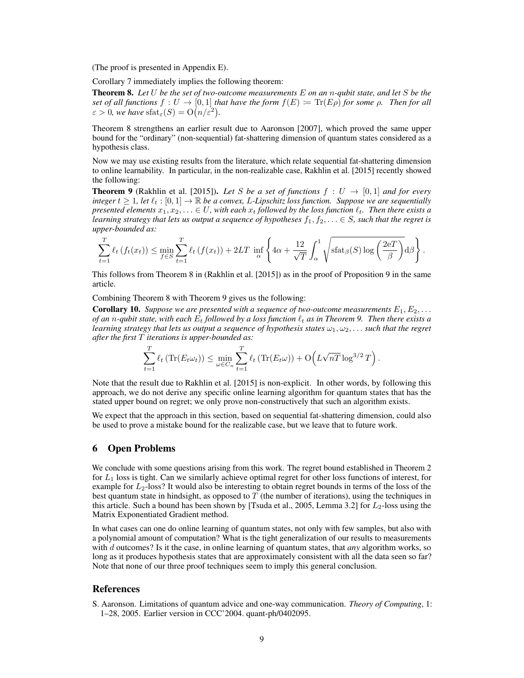(The proof is presented in Appendix E).

Corollary 7 immediately implies the following theorem:

Theorem 8. *Let* U *be the set of two-outcome measurements* E *on an* n*-qubit state, and let* S *be the set of all functions*  $f: U \to [0, 1]$  *that have the form*  $f(E) := \text{Tr}(E\rho)$  *for some*  $\rho$ *. Then for all*  $\varepsilon > 0$ , we have  $\text{stat}_{\varepsilon}(S) = \text{O}\big(n/\varepsilon^2\big)$ .

Theorem 8 strengthens an earlier result due to Aaronson [2007], which proved the same upper bound for the "ordinary" (non-sequential) fat-shattering dimension of quantum states considered as a hypothesis class.

Now we may use existing results from the literature, which relate sequential fat-shattering dimension to online learnability. In particular, in the non-realizable case, Rakhlin et al. [2015] recently showed the following:

**Theorem 9** (Rakhlin et al. [2015]). Let S be a set of functions  $f : U \rightarrow [0,1]$  and for every *integer*  $t \geq 1$ , let  $\ell_t : [0, 1] \to \mathbb{R}$  *be a convex, L-Lipschitz loss function. Suppose we are sequentially presented elements*  $x_1, x_2, \ldots \in U$ , with each  $x_t$  *followed by the loss function*  $\ell_t$ . Then there exists a *learning strategy that lets us output a sequence of hypotheses*  $f_1, f_2, \ldots \in S$ *, such that the regret is upper-bounded as:*

$$
\sum_{t=1}^{T} \ell_t \left( f_t(x_t) \right) \le \min_{f \in S} \sum_{t=1}^{T} \ell_t \left( f(x_t) \right) + 2LT \inf_{\alpha} \left\{ 4\alpha + \frac{12}{\sqrt{T}} \int_{\alpha}^1 \sqrt{\text{stat}_{\beta}(S) \log \left( \frac{2e}{\beta} \right)} d\beta \right\}.
$$

This follows from Theorem 8 in (Rakhlin et al. [2015]) as in the proof of Proposition 9 in the same article.

Combining Theorem 8 with Theorem 9 gives us the following:

**Corollary 10.** Suppose we are presented with a sequence of two-outcome measurements  $E_1, E_2, \ldots$ *of an* n-qubit state, with each  $E_t$  *followed by a loss function*  $\ell_t$  *as in Theorem 9. Then there exists a learning strategy that lets us output a sequence of hypothesis states*  $\omega_1, \omega_2, \ldots$  *such that the regret after the first* T *iterations is upper-bounded as:*

$$
\sum_{t=1}^T \ell_t \left( \text{Tr}(E_t \omega_t) \right) \le \min_{\omega \in C_n} \sum_{t=1}^T \ell_t \left( \text{Tr}(E_t \omega) \right) + \mathcal{O}\left( L \sqrt{n} \log^{3/2} T \right).
$$

Note that the result due to Rakhlin et al. [2015] is non-explicit. In other words, by following this approach, we do not derive any specific online learning algorithm for quantum states that has the stated upper bound on regret; we only prove non-constructively that such an algorithm exists.

We expect that the approach in this section, based on sequential fat-shattering dimension, could also be used to prove a mistake bound for the realizable case, but we leave that to future work.

## 6 Open Problems

We conclude with some questions arising from this work. The regret bound established in Theorem 2 for  $L_1$  loss is tight. Can we similarly achieve optimal regret for other loss functions of interest, for example for  $L_2$ -loss? It would also be interesting to obtain regret bounds in terms of the loss of the best quantum state in hindsight, as opposed to  $T$  (the number of iterations), using the techniques in this article. Such a bound has been shown by [Tsuda et al., 2005, Lemma 3.2] for  $L_2$ -loss using the Matrix Exponentiated Gradient method.

In what cases can one do online learning of quantum states, not only with few samples, but also with a polynomial amount of computation? What is the tight generalization of our results to measurements with d outcomes? Is it the case, in online learning of quantum states, that *any* algorithm works, so long as it produces hypothesis states that are approximately consistent with all the data seen so far? Note that none of our three proof techniques seem to imply this general conclusion.

#### References

S. Aaronson. Limitations of quantum advice and one-way communication. *Theory of Computing*, 1: 1–28, 2005. Earlier version in CCC'2004. quant-ph/0402095.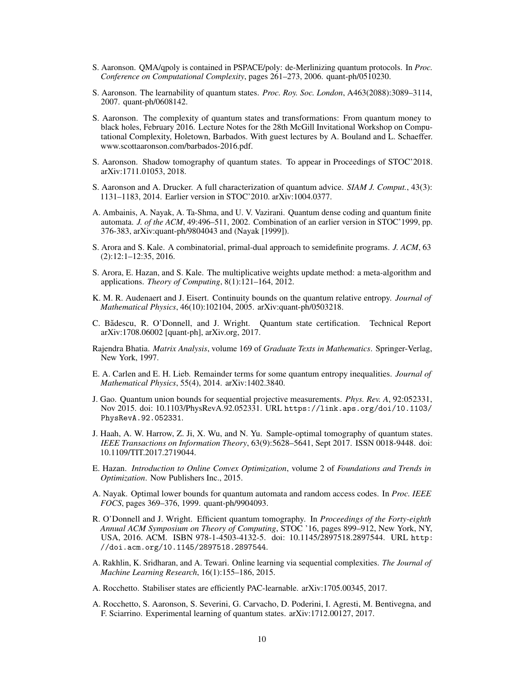- S. Aaronson. QMA/qpoly is contained in PSPACE/poly: de-Merlinizing quantum protocols. In *Proc. Conference on Computational Complexity*, pages 261–273, 2006. quant-ph/0510230.
- S. Aaronson. The learnability of quantum states. *Proc. Roy. Soc. London*, A463(2088):3089–3114, 2007. quant-ph/0608142.
- S. Aaronson. The complexity of quantum states and transformations: From quantum money to black holes, February 2016. Lecture Notes for the 28th McGill Invitational Workshop on Computational Complexity, Holetown, Barbados. With guest lectures by A. Bouland and L. Schaeffer. www.scottaaronson.com/barbados-2016.pdf.
- S. Aaronson. Shadow tomography of quantum states. To appear in Proceedings of STOC'2018. arXiv:1711.01053, 2018.
- S. Aaronson and A. Drucker. A full characterization of quantum advice. *SIAM J. Comput.*, 43(3): 1131–1183, 2014. Earlier version in STOC'2010. arXiv:1004.0377.
- A. Ambainis, A. Nayak, A. Ta-Shma, and U. V. Vazirani. Quantum dense coding and quantum finite automata. *J. of the ACM*, 49:496–511, 2002. Combination of an earlier version in STOC'1999, pp. 376-383, arXiv:quant-ph/9804043 and (Nayak [1999]).
- S. Arora and S. Kale. A combinatorial, primal-dual approach to semidefinite programs. *J. ACM*, 63 (2):12:1–12:35, 2016.
- S. Arora, E. Hazan, and S. Kale. The multiplicative weights update method: a meta-algorithm and applications. *Theory of Computing*, 8(1):121–164, 2012.
- K. M. R. Audenaert and J. Eisert. Continuity bounds on the quantum relative entropy. *Journal of Mathematical Physics*, 46(10):102104, 2005. arXiv:quant-ph/0503218.
- C. Bădescu, R. O'Donnell, and J. Wright. Quantum state certification. Technical Report arXiv:1708.06002 [quant-ph], arXiv.org, 2017.
- Rajendra Bhatia. *Matrix Analysis*, volume 169 of *Graduate Texts in Mathematics*. Springer-Verlag, New York, 1997.
- E. A. Carlen and E. H. Lieb. Remainder terms for some quantum entropy inequalities. *Journal of Mathematical Physics*, 55(4), 2014. arXiv:1402.3840.
- J. Gao. Quantum union bounds for sequential projective measurements. *Phys. Rev. A*, 92:052331, Nov 2015. doi: 10.1103/PhysRevA.92.052331. URL https://link.aps.org/doi/10.1103/ PhysRevA.92.052331.
- J. Haah, A. W. Harrow, Z. Ji, X. Wu, and N. Yu. Sample-optimal tomography of quantum states. *IEEE Transactions on Information Theory*, 63(9):5628–5641, Sept 2017. ISSN 0018-9448. doi: 10.1109/TIT.2017.2719044.
- E. Hazan. *Introduction to Online Convex Optimization*, volume 2 of *Foundations and Trends in Optimization*. Now Publishers Inc., 2015.
- A. Nayak. Optimal lower bounds for quantum automata and random access codes. In *Proc. IEEE FOCS*, pages 369–376, 1999. quant-ph/9904093.
- R. O'Donnell and J. Wright. Efficient quantum tomography. In *Proceedings of the Forty-eighth Annual ACM Symposium on Theory of Computing*, STOC '16, pages 899–912, New York, NY, USA, 2016. ACM. ISBN 978-1-4503-4132-5. doi: 10.1145/2897518.2897544. URL http: //doi.acm.org/10.1145/2897518.2897544.
- A. Rakhlin, K. Sridharan, and A. Tewari. Online learning via sequential complexities. *The Journal of Machine Learning Research*, 16(1):155–186, 2015.
- A. Rocchetto. Stabiliser states are efficiently PAC-learnable. arXiv:1705.00345, 2017.
- A. Rocchetto, S. Aaronson, S. Severini, G. Carvacho, D. Poderini, I. Agresti, M. Bentivegna, and F. Sciarrino. Experimental learning of quantum states. arXiv:1712.00127, 2017.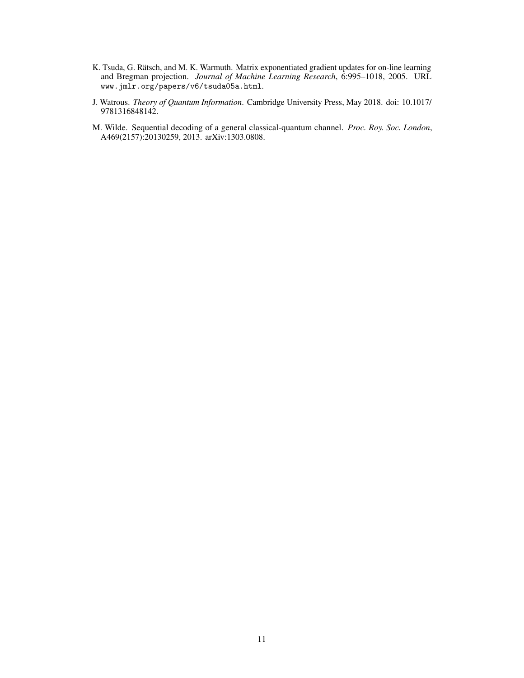- K. Tsuda, G. Rätsch, and M. K. Warmuth. Matrix exponentiated gradient updates for on-line learning and Bregman projection. *Journal of Machine Learning Research*, 6:995–1018, 2005. URL www.jmlr.org/papers/v6/tsuda05a.html.
- J. Watrous. *Theory of Quantum Information*. Cambridge University Press, May 2018. doi: 10.1017/ 9781316848142.
- M. Wilde. Sequential decoding of a general classical-quantum channel. *Proc. Roy. Soc. London*, A469(2157):20130259, 2013. arXiv:1303.0808.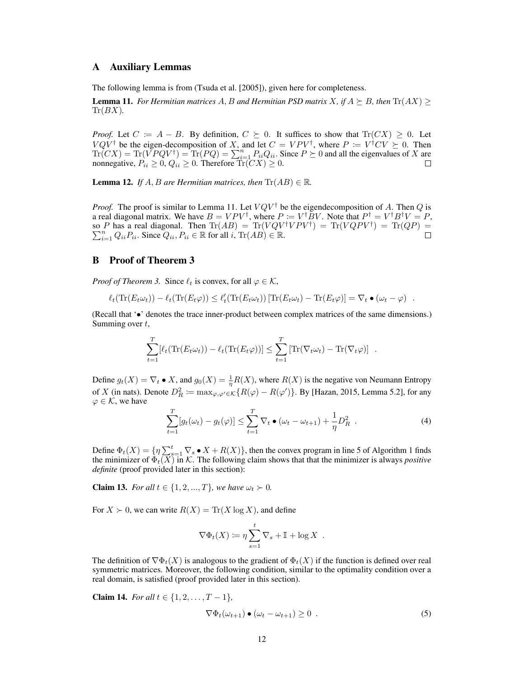### A Auxiliary Lemmas

The following lemma is from (Tsuda et al. [2005]), given here for completeness.

**Lemma 11.** For Hermitian matrices A, B and Hermitian PSD matrix X, if  $A \succeq B$ , then  $\text{Tr}(AX)$  $Tr(BX)$ .

*Proof.* Let  $C := A - B$ . By definition,  $C \succeq 0$ . It suffices to show that  $\text{Tr}(CX) \geq 0$ . Let  $VQV^{\dagger}$  be the eigen-decomposition of X, and let  $C = VPV^{\dagger}$ , where  $P = V^{\dagger}CV \succeq 0$ . Then  $Tr(CX) = Tr(\overline{VPQV^{\dagger}}) = Tr(PQ) = \sum_{i=1}^{n} P_{ii}Q_{ii}$ . Since  $P \succeq 0$  and all the eigenvalues of X are nonnegative,  $P_{ii} \geq 0$ ,  $Q_{ii} \geq 0$ . Therefore  $\text{Tr}(CX) \geq 0$ .

**Lemma 12.** *If*  $A$ ,  $B$  *are Hermitian matrices, then*  $\text{Tr}(AB) \in \mathbb{R}$ *.* 

*Proof.* The proof is similar to Lemma 11. Let  $VQV^{\dagger}$  be the eigendecomposition of A. Then Q is a real diagonal matrix. We have  $B = VPV^{\dagger}$ , where  $P = V^{\dagger}BV$ . Note that  $P^{\dagger} = V^{\dagger}B^{\dagger}V = P$ , so P has a real diagonal. Then  $\text{Tr}(AB) = \text{Tr}(VQV^{\dagger}VPV^{\dagger}) = \text{Tr}(VQPV^{\dagger}) = \text{Tr}(QP) =$  $\sum_{i=1}^{n} Q_{ii} P_{ii}$ . Since  $Q_{ii}$ ,  $P_{ii} \in \mathbb{R}$  for all  $i$ ,  $\text{Tr}(AB) \in \mathbb{R}$ .

# B Proof of Theorem 3

*Proof of Theorem 3.* Since  $\ell_t$  is convex, for all  $\varphi \in \mathcal{K}$ ,

$$
\ell_t(\text{Tr}(E_t\omega_t)) - \ell_t(\text{Tr}(E_t\varphi)) \leq \ell'_t(\text{Tr}(E_t\omega_t)) [\text{Tr}(E_t\omega_t) - \text{Tr}(E_t\varphi)] = \nabla_t \bullet (\omega_t - \varphi) .
$$

(Recall that '•' denotes the trace inner-product between complex matrices of the same dimensions.) Summing over  $t$ ,

$$
\sum_{t=1}^T \left[ \ell_t(\text{Tr}(E_t \omega_t)) - \ell_t(\text{Tr}(E_t \varphi)) \right] \leq \sum_{t=1}^T \left[ \text{Tr}(\nabla_t \omega_t) - \text{Tr}(\nabla_t \varphi) \right] .
$$

Define  $g_t(X) = \nabla_t \bullet X$ , and  $g_0(X) = \frac{1}{\eta} R(X)$ , where  $R(X)$  is the negative von Neumann Entropy of X (in nats). Denote  $D_R^2 := \max_{\varphi,\varphi' \in \mathcal{K}} \{ R(\varphi) - R(\varphi') \}$ . By [Hazan, 2015, Lemma 5.2], for any  $\varphi \in \mathcal{K}$ , we have

$$
\sum_{t=1}^{T} [g_t(\omega_t) - g_t(\varphi)] \leq \sum_{t=1}^{T} \nabla_t \bullet (\omega_t - \omega_{t+1}) + \frac{1}{\eta} D_R^2 \quad . \tag{4}
$$

Define  $\Phi_t(X) = \{ \eta \sum_{s=1}^t \nabla_s \bullet X + R(X) \}$ , then the convex program in line 5 of Algorithm 1 finds the minimizer of  $\Phi_t(X)$  in K. The following claim shows that that the minimizer is always *positive definite* (proof provided later in this section):

**Claim 13.** *For all*  $t \in \{1, 2, ..., T\}$ *, we have*  $\omega_t \succ 0$ *.* 

For  $X \succ 0$ , we can write  $R(X) = \text{Tr}(X \log X)$ , and define

$$
\nabla \Phi_t(X) \coloneqq \eta \sum_{s=1}^t \nabla_s + \mathbb{I} + \log X \enspace .
$$

The definition of  $\nabla \Phi_t(X)$  is analogous to the gradient of  $\Phi_t(X)$  if the function is defined over real symmetric matrices. Moreover, the following condition, similar to the optimality condition over a real domain, is satisfied (proof provided later in this section).

Claim 14. *For all*  $t \in \{1, 2, ..., T - 1\}$ *,* 

$$
\nabla \Phi_t(\omega_{t+1}) \bullet (\omega_t - \omega_{t+1}) \ge 0 \tag{5}
$$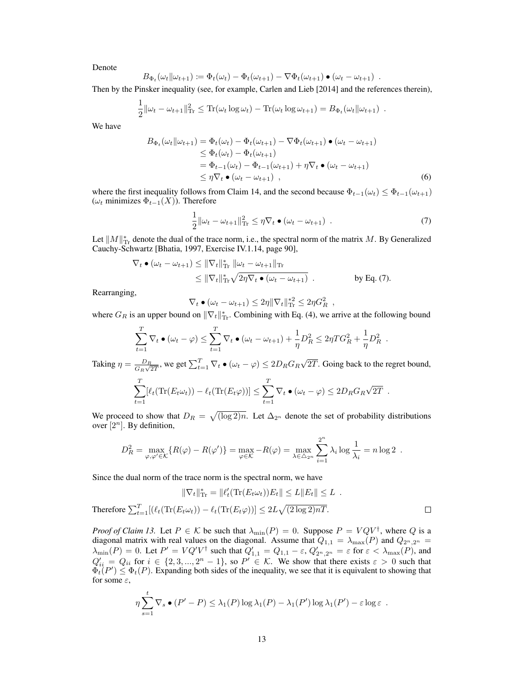Denote

$$
B_{\Phi_t}(\omega_t || \omega_{t+1}) \coloneqq \Phi_t(\omega_t) - \Phi_t(\omega_{t+1}) - \nabla \Phi_t(\omega_{t+1}) \bullet (\omega_t - \omega_{t+1}) \enspace .
$$

Then by the Pinsker inequality (see, for example, Carlen and Lieb [2014] and the references therein),

$$
\frac{1}{2} ||\omega_t - \omega_{t+1}||_{\text{Tr}}^2 \leq \text{Tr}(\omega_t \log \omega_t) - \text{Tr}(\omega_t \log \omega_{t+1}) = B_{\Phi_t}(\omega_t || \omega_{t+1}).
$$

We have

$$
B_{\Phi_t}(\omega_t || \omega_{t+1}) = \Phi_t(\omega_t) - \Phi_t(\omega_{t+1}) - \nabla \Phi_t(\omega_{t+1}) \bullet (\omega_t - \omega_{t+1})
$$
  
\n
$$
\leq \Phi_t(\omega_t) - \Phi_t(\omega_{t+1})
$$
  
\n
$$
= \Phi_{t-1}(\omega_t) - \Phi_{t-1}(\omega_{t+1}) + \eta \nabla_t \bullet (\omega_t - \omega_{t+1})
$$
  
\n
$$
\leq \eta \nabla_t \bullet (\omega_t - \omega_{t+1}), \qquad (6)
$$

where the first inequality follows from Claim 14, and the second because  $\Phi_{t-1}(\omega_t) \leq \Phi_{t-1}(\omega_{t+1})$ ( $\omega_t$  minimizes  $\Phi_{t-1}(X)$ ). Therefore

$$
\frac{1}{2} \|\omega_t - \omega_{t+1}\|_{\text{Tr}}^2 \le \eta \nabla_t \bullet (\omega_t - \omega_{t+1}) \tag{7}
$$

Let  $||M||_{\text{Tr}}^*$  denote the dual of the trace norm, i.e., the spectral norm of the matrix M. By Generalized Cauchy-Schwartz [Bhatia, 1997, Exercise IV.1.14, page 90],

$$
\nabla_t \bullet (\omega_t - \omega_{t+1}) \leq \|\nabla_t\|_{\text{Tr}}^* \|\omega_t - \omega_{t+1}\|_{\text{Tr}}
$$
  
 
$$
\leq \|\nabla_t\|_{\text{Tr}}^* \sqrt{2\eta \nabla_t \bullet (\omega_t - \omega_{t+1})} \quad \text{by Eq. (7).}
$$

Rearranging,

$$
\nabla_t \bullet (\omega_t - \omega_{t+1}) \leq 2\eta \|\nabla_t\|_{\mathrm{Tr}}^{*2} \leq 2\eta G_R^2 ,
$$

where  $G_R$  is an upper bound on  $\|\nabla_t\|_{\text{Tr}}^*$ . Combining with Eq. (4), we arrive at the following bound

$$
\sum_{t=1}^T \nabla_t \bullet (\omega_t - \varphi) \leq \sum_{t=1}^T \nabla_t \bullet (\omega_t - \omega_{t+1}) + \frac{1}{\eta} D_R^2 \leq 2\eta T G_R^2 + \frac{1}{\eta} D_R^2.
$$

Taking  $\eta = \frac{D_R}{C}$  $\frac{D_R}{G_R\sqrt{2T}}$ , we get  $\sum_{t=1}^T \nabla_t \bullet (\omega_t - \varphi) \leq 2D_R G_R$ √ 2T. Going back to the regret bound,

$$
\sum_{t=1}^T [\ell_t(\text{Tr}(E_t \omega_t)) - \ell_t(\text{Tr}(E_t \varphi))] \leq \sum_{t=1}^T \nabla_t \bullet (\omega_t - \varphi) \leq 2D_R G_R \sqrt{2T} .
$$

We proceed to show that  $D_R = \sqrt{\frac{\log 2}{n}}$ . Let  $\Delta_{2^n}$  denote the set of probability distributions over  $[2^n]$ . By definition,

$$
D_R^2 = \max_{\varphi,\varphi'\in\mathcal{K}} \{R(\varphi) - R(\varphi')\} = \max_{\varphi\in\mathcal{K}} -R(\varphi) = \max_{\lambda\in\Delta_{2^n}} \sum_{i=1}^{2^n} \lambda_i \log \frac{1}{\lambda_i} = n \log 2.
$$

Since the dual norm of the trace norm is the spectral norm, we have

$$
\|\nabla_t\|_{\text{Tr}}^* = \|\ell'_t(\text{Tr}(E_t\omega_t))E_t\| \le L\|E_t\| \le L.
$$
  
Therefore 
$$
\sum_{t=1}^T [(\ell_t(\text{Tr}(E_t\omega_t)) - \ell_t(\text{Tr}(E_t\varphi))] \le 2L\sqrt{(2\log 2)nT}.
$$

*Proof of Claim 13.* Let  $P \in \mathcal{K}$  be such that  $\lambda_{\min}(P) = 0$ . Suppose  $P = VQV^{\dagger}$ , where Q is a diagonal matrix with real values on the diagonal. Assume that  $Q_{1,1} = \lambda_{\max}(P)$  and  $Q_{2^n,2^n} =$  $\lambda_{\min}(P) = 0$ . Let  $P' = VQ'V^{\dagger}$  such that  $Q'_{1,1} = Q_{1,1} - \varepsilon$ ,  $Q'_{2^n,2^n} = \varepsilon$  for  $\varepsilon < \lambda_{\max}(P)$ , and  $Q'_{ii} = Q_{ii}$  for  $i \in \{2, 3, ..., 2^n - 1\}$ , so  $P' \in \mathcal{K}$ . We show that there exists  $\varepsilon > 0$  such that  $\Phi_t(P') \leq \Phi_t(P)$ . Expanding both sides of the inequality, we see that it is equivalent to showing that for some  $\varepsilon$ ,

$$
\eta \sum_{s=1}^t \nabla_s \bullet (P' - P) \leq \lambda_1(P) \log \lambda_1(P) - \lambda_1(P') \log \lambda_1(P') - \varepsilon \log \varepsilon.
$$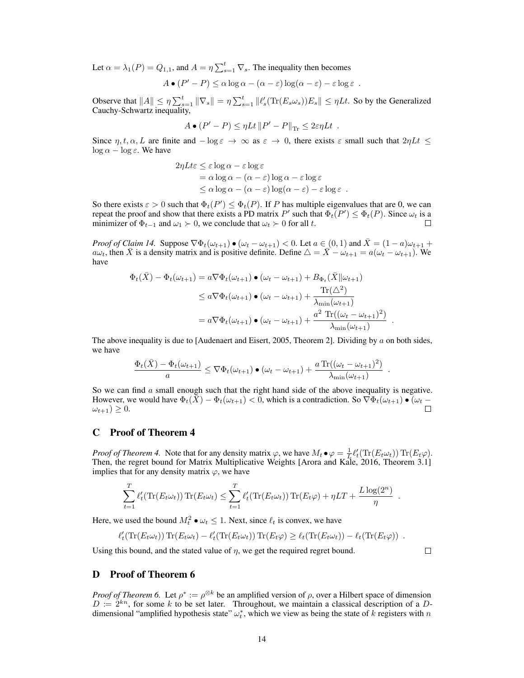Let  $\alpha = \lambda_1(P) = Q_{1,1}$ , and  $A = \eta \sum_{s=1}^t \nabla_s$ . The inequality then becomes

$$
A \bullet (P' - P) \leq \alpha \log \alpha - (\alpha - \varepsilon) \log(\alpha - \varepsilon) - \varepsilon \log \varepsilon.
$$

Observe that  $||A|| \leq \eta \sum_{s=1}^t ||\nabla_s|| = \eta \sum_{s=1}^t ||\ell_s'(\text{Tr}(E_s \omega_s))E_s|| \leq \eta Lt$ . So by the Generalized Cauchy-Schwartz inequality,

$$
A \bullet (P' - P) \leq \eta L t \, \|P' - P\|_{\text{Tr}} \leq 2\varepsilon \eta L t \, .
$$

Since  $\eta, t, \alpha, L$  are finite and  $-\log \varepsilon \to \infty$  as  $\varepsilon \to 0$ , there exists  $\varepsilon$  small such that  $2\eta L t \leq$  $\log \alpha - \log \varepsilon$ . We have

$$
2\eta L t \varepsilon \le \varepsilon \log \alpha - \varepsilon \log \varepsilon
$$
  
=  $\alpha \log \alpha - (\alpha - \varepsilon) \log \alpha - \varepsilon \log \varepsilon$   
 $\le \alpha \log \alpha - (\alpha - \varepsilon) \log (\alpha - \varepsilon) - \varepsilon \log \varepsilon$ .

So there exists  $\varepsilon > 0$  such that  $\Phi_t(P') \leq \Phi_t(P)$ . If P has multiple eigenvalues that are 0, we can repeat the proof and show that there exists a PD matrix P' such that  $\Phi_t(P') \leq \Phi_t(P)$ . Since  $\omega_t$  is a minimizer of  $\Phi_{t-1}$  and  $\omega_1 \succ 0$ , we conclude that  $\omega_t \succ 0$  for all t.  $\Box$ 

*Proof of Claim 14.* Suppose  $\nabla \Phi_t(\omega_{t+1}) \bullet (\omega_t - \omega_{t+1}) < 0$ . Let  $a \in (0,1)$  and  $\overline{X} = (1-a)\omega_{t+1} +$  $a\omega_t$ , then  $\bar{X}$  is a density matrix and is positive definite. Define  $\Delta = \bar{X} - \omega_{t+1} = a(\omega_t - \omega_{t+1})$ . We have

$$
\Phi_t(\bar{X}) - \Phi_t(\omega_{t+1}) = a \nabla \Phi_t(\omega_{t+1}) \bullet (\omega_t - \omega_{t+1}) + B_{\Phi_t}(\bar{X}||\omega_{t+1})
$$
  
\n
$$
\leq a \nabla \Phi_t(\omega_{t+1}) \bullet (\omega_t - \omega_{t+1}) + \frac{\text{Tr}(\Delta^2)}{\lambda_{\min}(\omega_{t+1})}
$$
  
\n
$$
= a \nabla \Phi_t(\omega_{t+1}) \bullet (\omega_t - \omega_{t+1}) + \frac{a^2 \text{Tr}((\omega_t - \omega_{t+1})^2)}{\lambda_{\min}(\omega_{t+1})}
$$

The above inequality is due to [Audenaert and Eisert, 2005, Theorem 2]. Dividing by  $\alpha$  on both sides, we have

$$
\frac{\Phi_t(\bar{X}) - \Phi_t(\omega_{t+1})}{a} \leq \nabla \Phi_t(\omega_{t+1}) \bullet (\omega_t - \omega_{t+1}) + \frac{a \operatorname{Tr}((\omega_t - \omega_{t+1})^2)}{\lambda_{\min}(\omega_{t+1})}
$$

So we can find  $\alpha$  small enough such that the right hand side of the above inequality is negative. However, we would have  $\Phi_t(\bar{X}) - \Phi_t(\omega_{t+1}) < 0$ , which is a contradiction. So  $\nabla \Phi_t(\omega_{t+1}) \bullet (\omega_t - \omega_{t+1}) > 0$ .  $\omega_{t+1}) \geq 0.$ 

# C Proof of Theorem 4

*Proof of Theorem 4.* Note that for any density matrix  $\varphi$ , we have  $M_t \bullet \varphi = \frac{1}{L} \ell'_t(\text{Tr}(E_t \omega_t)) \text{Tr}(E_t \varphi)$ . Then, the regret bound for Matrix Multiplicative Weights [Arora and Kale, 2016, Theorem 3.1] implies that for any density matrix  $\varphi$ , we have

$$
\sum_{t=1}^{T} \ell'_t(\text{Tr}(E_t \omega_t)) \text{Tr}(E_t \omega_t) \leq \sum_{t=1}^{T} \ell'_t(\text{Tr}(E_t \omega_t)) \text{Tr}(E_t \varphi) + \eta LT + \frac{L \log(2^n)}{\eta}
$$

Here, we used the bound  $M_t^2 \bullet \omega_t \leq 1$ . Next, since  $\ell_t$  is convex, we have

$$
\ell'_t(\mathrm{Tr}(E_t\omega_t))\mathrm{Tr}(E_t\omega_t) - \ell'_t(\mathrm{Tr}(E_t\omega_t))\mathrm{Tr}(E_t\varphi) \geq \ell_t(\mathrm{Tr}(E_t\omega_t)) - \ell_t(\mathrm{Tr}(E_t\varphi)).
$$

Using this bound, and the stated value of  $\eta$ , we get the required regret bound.

 $\Box$ 

.

.

.

## D Proof of Theorem 6

*Proof of Theorem 6.* Let  $\rho^* := \rho^{\otimes k}$  be an amplified version of  $\rho$ , over a Hilbert space of dimension  $D := 2^{kn}$ , for some k to be set later. Throughout, we maintain a classical description of a Ddimensional "amplified hypothesis state"  $\omega_t^*$ , which we view as being the state of k registers with n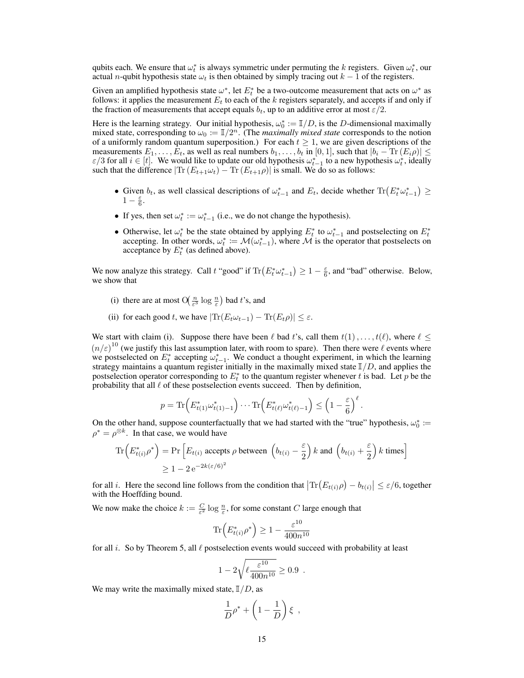qubits each. We ensure that  $\omega_t^*$  is always symmetric under permuting the k registers. Given  $\omega_t^*$ , our actual n-qubit hypothesis state  $\omega_t$  is then obtained by simply tracing out  $k - 1$  of the registers.

Given an amplified hypothesis state  $\omega^*$ , let  $E_t^*$  be a two-outcome measurement that acts on  $\omega^*$  as follows: it applies the measurement  $E_t$  to each of the k registers separately, and accepts if and only if the fraction of measurements that accept equals  $b_t$ , up to an additive error at most  $\varepsilon/2$ .

Here is the learning strategy. Our initial hypothesis,  $\omega_0^* := \mathbb{I}/D$ , is the D-dimensional maximally mixed state, corresponding to  $\omega_0 := \mathbb{I}/2^n$ . (The *maximally mixed state* corresponds to the notion of a uniformly random quantum superposition.) For each  $t \geq 1$ , we are given descriptions of the measurements  $E_1, \ldots, E_t$ , as well as real numbers  $b_1, \ldots, b_t$  in [0, 1], such that  $|b_i - \text{Tr}(E_i \rho)| \leq$  $\varepsilon/3$  for all  $i \in [t]$ . We would like to update our old hypothesis  $\omega_{t-1}^*$  to a new hypothesis  $\omega_t^*$ , ideally such that the difference  $|\text{Tr}(E_{t+1}\omega_t) - \text{Tr}(E_{t+1}\rho)|$  is small. We do so as follows:

- Given  $b_t$ , as well classical descriptions of  $\omega_{t-1}^*$  and  $E_t$ , decide whether  $\text{Tr}(E_t^* \omega_{t-1}^*) \geq$  $1-\frac{\varepsilon}{6}.$
- If yes, then set  $\omega_t^* := \omega_{t-1}^*$  (i.e., we do not change the hypothesis).
- Otherwise, let  $\omega_t^*$  be the state obtained by applying  $E_t^*$  to  $\omega_{t-1}^*$  and postselecting on  $E_t^*$ accepting. In other words,  $\omega_t^* := \mathcal{M}(\omega_{t-1}^*)$ , where  $\mathcal M$  is the operator that postselects on acceptance by  $E_t^*$  (as defined above).

We now analyze this strategy. Call t "good" if  $\text{Tr}\left(E_t^* \omega_{t-1}^*\right) \geq 1 - \frac{\varepsilon}{6}$ , and "bad" otherwise. Below, we show that

- (i) there are at most  $O(\frac{n}{\varepsilon^3} \log \frac{n}{\varepsilon})$  bad t's, and
- (ii) for each good t, we have  $|\text{Tr}(E_t \omega_{t-1}) \text{Tr}(E_t \rho)| \leq \varepsilon$ .

We start with claim (i). Suppose there have been  $\ell$  bad t's, call them  $t(1), \ldots, t(\ell)$ , where  $\ell \leq$  $(n/\varepsilon)^{10}$  (we justify this last assumption later, with room to spare). Then there were  $\ell$  events where we postselected on  $E_t^*$  accepting  $\omega_{t-1}^*$ . We conduct a thought experiment, in which the learning strategy maintains a quantum register initially in the maximally mixed state  $\mathbb{I}/D$ , and applies the postselection operator corresponding to  $E_t^*$  to the quantum register whenever t is bad. Let p be the probability that all  $\ell$  of these postselection events succeed. Then by definition,

$$
p = \text{Tr}\Big(E_{t(1)}^*\omega_{t(1)-1}^*\Big)\cdots\text{Tr}\Big(E_{t(\ell)}^*\omega_{t(\ell)-1}^*\Big) \leq \left(1 - \frac{\varepsilon}{6}\right)^{\ell}.
$$

On the other hand, suppose counterfactually that we had started with the "true" hypothesis,  $\omega_0^*$  :=  $\rho^* = \rho^{\otimes k}$ . In that case, we would have

$$
\text{Tr}\left(E_{t(i)}^*\rho^*\right) = \text{Pr}\left[E_{t(i)} \text{ accepts } \rho \text{ between } \left(b_{t(i)} - \frac{\varepsilon}{2}\right)k \text{ and } \left(b_{t(i)} + \frac{\varepsilon}{2}\right)k \text{ times}\right]
$$
\n
$$
\geq 1 - 2e^{-2k(\varepsilon/6)^2}
$$

for all *i*. Here the second line follows from the condition that  $|\text{Tr}(E_{t(i)}\rho) - b_{t(i)}| \leq \varepsilon/6$ , together with the Hoeffding bound.

We now make the choice  $k := \frac{C}{\varepsilon^2} \log \frac{n}{\varepsilon}$ , for some constant C large enough that

$$
\text{Tr}\left(E_{t(i)}^*\rho^*\right) \ge 1 - \frac{\varepsilon^{10}}{400n^{10}}
$$

for all i. So by Theorem 5, all  $\ell$  postselection events would succeed with probability at least

$$
1 - 2\sqrt{\ell \frac{\varepsilon^{10}}{400n^{10}}} \ge 0.9.
$$

We may write the maximally mixed state,  $\mathbb{I}/D$ , as

$$
\frac{1}{D}\rho^* + \left(1 - \frac{1}{D}\right)\xi \ ,
$$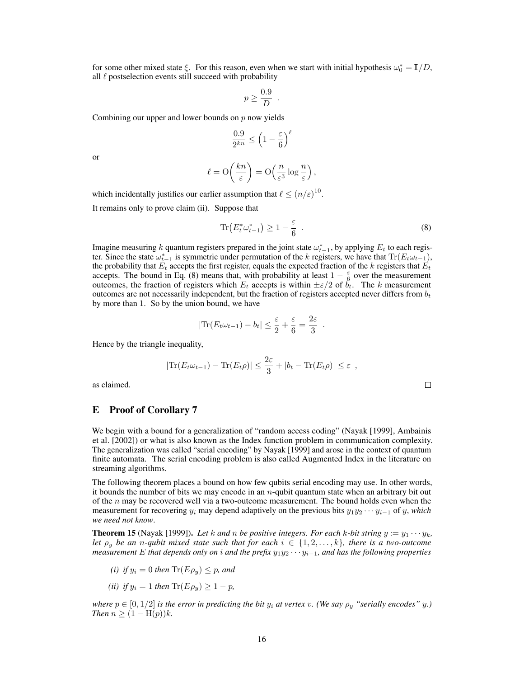for some other mixed state  $\xi$ . For this reason, even when we start with initial hypothesis  $\omega_0^* = \mathbb{I}/D$ , all  $\ell$  postselection events still succeed with probability

$$
p \ge \frac{0.9}{D} .
$$

Combining our upper and lower bounds on  $p$  now yields

$$
\frac{0.9}{2^{kn}} \le \left(1 - \frac{\varepsilon}{6}\right)^{\ell}
$$

or

$$
\ell = \mathcal{O}\left(\frac{kn}{\varepsilon}\right) = \mathcal{O}\left(\frac{n}{\varepsilon^3} \log \frac{n}{\varepsilon}\right),\,
$$

which incidentally justifies our earlier assumption that  $\ell \leq (n/\varepsilon)^{10}$ .

It remains only to prove claim (ii). Suppose that

$$
\text{Tr}\left(E_t^* \omega_{t-1}^*\right) \ge 1 - \frac{\varepsilon}{6} \tag{8}
$$

 $\Box$ 

Imagine measuring k quantum registers prepared in the joint state  $\omega_{t-1}^*$ , by applying  $E_t$  to each register. Since the state  $\omega_{t-1}^*$  is symmetric under permutation of the k registers, we have that  $\text{Tr}(E_t\omega_{t-1})$ , the probability that  $E_t$  accepts the first register, equals the expected fraction of the k registers that  $E_t$ accepts. The bound in Eq. (8) means that, with probability at least  $1 - \frac{\varepsilon}{6}$  over the measurement outcomes, the fraction of registers which  $E_t$  accepts is within  $\pm \varepsilon/2$  of  $b_t$ . The k measurement outcomes are not necessarily independent, but the fraction of registers accepted never differs from  $b_t$ by more than 1. So by the union bound, we have

$$
|\text{Tr}(E_t\omega_{t-1}) - b_t| \leq \frac{\varepsilon}{2} + \frac{\varepsilon}{6} = \frac{2\varepsilon}{3}.
$$

Hence by the triangle inequality,

$$
|\text{Tr}(E_t\omega_{t-1}) - \text{Tr}(E_t\rho)| \leq \frac{2\varepsilon}{3} + |b_t - \text{Tr}(E_t\rho)| \leq \varepsilon ,
$$

as claimed.

#### E Proof of Corollary 7

We begin with a bound for a generalization of "random access coding" (Nayak [1999], Ambainis et al. [2002]) or what is also known as the Index function problem in communication complexity. The generalization was called "serial encoding" by Nayak [1999] and arose in the context of quantum finite automata. The serial encoding problem is also called Augmented Index in the literature on streaming algorithms.

The following theorem places a bound on how few qubits serial encoding may use. In other words, it bounds the number of bits we may encode in an n-qubit quantum state when an arbitrary bit out of the  $n$  may be recovered well via a two-outcome measurement. The bound holds even when the measurement for recovering  $y_i$  may depend adaptively on the previous bits  $y_1y_2 \cdots y_{i-1}$  of y, *which we need not know*.

**Theorem 15** (Nayak [1999]). Let k and n be positive integers. For each k-bit string  $y := y_1 \cdots y_k$ , *let*  $\rho_y$  *be an n*-qubit mixed state such that for each  $i \in \{1, 2, \ldots, k\}$ *, there is a two-outcome measurement* E *that depends only on i and the prefix*  $y_1y_2 \cdots y_{i-1}$ *, and has the following properties* 

- *(i) if*  $y_i = 0$  *then*  $\text{Tr}(E \rho_y) \leq p$ *, and*
- *(ii) if*  $y_i = 1$  *then*  $\text{Tr}(E \rho_u) \geq 1 p$ *,*

*where*  $p \in [0, 1/2]$  *is the error in predicting the bit*  $y_i$  *at vertex* v. (We say  $\rho_y$  "serially encodes" y.) *Then*  $n \geq (1 - H(p))k$ .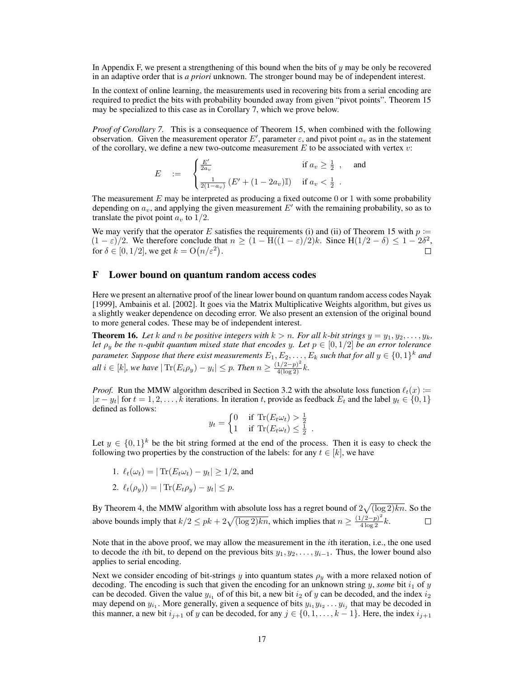In Appendix F, we present a strengthening of this bound when the bits of  $\gamma$  may be only be recovered in an adaptive order that is *a priori* unknown. The stronger bound may be of independent interest.

In the context of online learning, the measurements used in recovering bits from a serial encoding are required to predict the bits with probability bounded away from given "pivot points". Theorem 15 may be specialized to this case as in Corollary 7, which we prove below.

*Proof of Corollary 7.* This is a consequence of Theorem 15, when combined with the following observation. Given the measurement operator E', parameter  $\varepsilon$ , and pivot point  $a_v$  as in the statement of the corollary, we define a new two-outcome measurement  $E$  to be associated with vertex  $v$ :

$$
E = \begin{cases} \frac{E'}{2a_v} & \text{if } a_v \ge \frac{1}{2} \end{cases}
$$
, and 
$$
\frac{1}{2(1-a_v)} (E' + (1-2a_v) \mathbb{I}) \quad \text{if } a_v < \frac{1}{2} \end{cases}
$$
.

The measurement  $E$  may be interpreted as producing a fixed outcome 0 or 1 with some probability depending on  $a_v$ , and applying the given measurement  $E'$  with the remaining probability, so as to translate the pivot point  $a_v$  to  $1/2$ .

We may verify that the operator E satisfies the requirements (i) and (ii) of Theorem 15 with  $p \coloneqq$  $(1 - \varepsilon)/2$ . We therefore conclude that  $n \ge (1 - H((1 - \varepsilon)/2)k)$ . Since  $H(1/2 - \delta) \le 1 - 2\delta^2$ , for  $\delta \in [0, 1/2]$ , we get  $k = O(n/\varepsilon^2)$ .  $\Box$ 

#### F Lower bound on quantum random access codes

Here we present an alternative proof of the linear lower bound on quantum random access codes Nayak [1999], Ambainis et al. [2002]. It goes via the Matrix Multiplicative Weights algorithm, but gives us a slightly weaker dependence on decoding error. We also present an extension of the original bound to more general codes. These may be of independent interest.

**Theorem 16.** Let k and n be positive integers with  $k > n$ . For all k-bit strings  $y = y_1, y_2, \ldots, y_k$ , *let*  $\rho_y$  *be the* n-qubit quantum mixed state that encodes y. Let  $p \in [0, 1/2]$  be an error tolerance  $\emph{parameter.}\emph{ Suppose that there exist measurements } E_1,E_2,\ldots,E_k \emph{ such that for all } y \in \{0,1\}^k \emph{ and }$ *all*  $i \in [k]$ *, we have*  $|\text{Tr}(E_i \rho_y) - y_i|$  ≤ p. Then  $n \ge \frac{(1/2-p)^2}{4(\log 2)}$ *k*.

*Proof.* Run the MMW algorithm described in Section 3.2 with the absolute loss function  $\ell_t(x)$  :=  $|x - y_t|$  for  $t = 1, 2, \ldots, k$  iterations. In iteration t, provide as feedback  $E_t$  and the label  $y_t \in \{0, 1\}$ defined as follows:

$$
y_t = \begin{cases} 0 & \text{if } \text{Tr}(E_t \omega_t) > \frac{1}{2} \\ 1 & \text{if } \text{Tr}(E_t \omega_t) \leq \frac{1}{2} \end{cases}.
$$

Let  $y \in \{0,1\}^k$  be the bit string formed at the end of the process. Then it is easy to check the following two properties by the construction of the labels: for any  $t \in [k]$ , we have

1.  $\ell_t(\omega_t) = |\text{Tr}(E_t \omega_t) - y_t| \ge 1/2$ , and 2.  $\ell_t(\rho_y) = |\text{Tr}(E_t \rho_y) - y_t| \leq p.$ 

By Theorem 4, the MMW algorithm with absolute loss has a regret bound of  $2\sqrt{(\log 2)kn}$ . So the above bounds imply that  $k/2 \leq pk + 2\sqrt{(\log 2)kn}$ , which implies that  $n \geq \frac{(1/2-p)^2}{4 \log 2}k$ .  $\Box$ 

Note that in the above proof, we may allow the measurement in the ith iteration, i.e., the one used to decode the *i*th bit, to depend on the previous bits  $y_1, y_2, \ldots, y_{i-1}$ . Thus, the lower bound also applies to serial encoding.

Next we consider encoding of bit-strings y into quantum states  $\rho<sub>y</sub>$  with a more relaxed notion of decoding. The encoding is such that given the encoding for an unknown string y, *some* bit  $i_1$  of y can be decoded. Given the value  $y_{i_1}$  of of this bit, a new bit  $i_2$  of y can be decoded, and the index  $i_2$ may depend on  $y_{i_1}$ . More generally, given a sequence of bits  $y_{i_1}y_{i_2} \ldots y_{i_j}$  that may be decoded in this manner, a new bit  $i_{j+1}$  of y can be decoded, for any  $j \in \{0, 1, \ldots, k-1\}$ . Here, the index  $i_{j+1}$